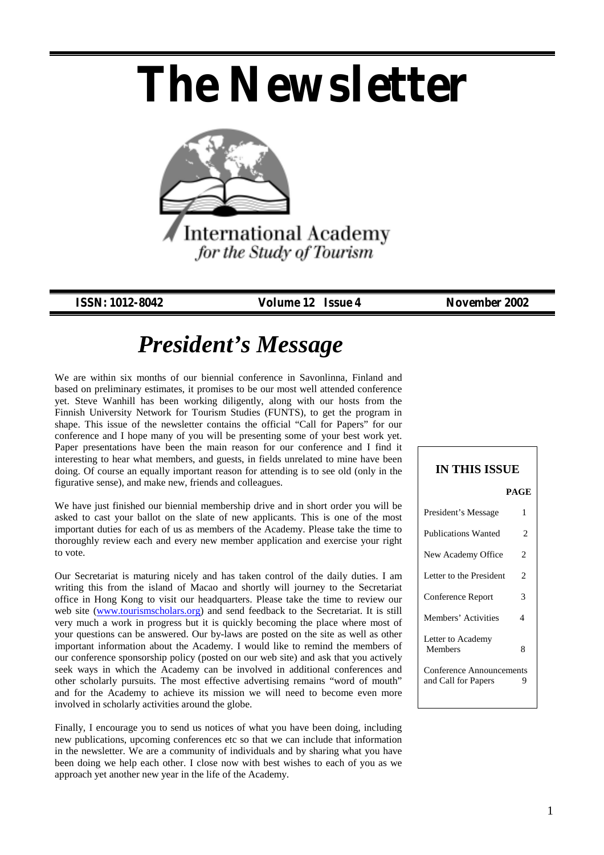# *The Newsletter*



*ISSN: 1012-8042 Volume 12 Issue 4 November 2002*

## *President's Message*

We are within six months of our biennial conference in Savonlinna, Finland and based on preliminary estimates, it promises to be our most well attended conference yet. Steve Wanhill has been working diligently, along with our hosts from the Finnish University Network for Tourism Studies (FUNTS), to get the program in shape. This issue of the newsletter contains the official "Call for Papers" for our conference and I hope many of you will be presenting some of your best work yet. Paper presentations have been the main reason for our conference and I find it interesting to hear what members, and guests, in fields unrelated to mine have been doing. Of course an equally important reason for attending is to see old (only in the figurative sense), and make new, friends and colleagues.

We have just finished our biennial membership drive and in short order you will be asked to cast your ballot on the slate of new applicants. This is one of the most important duties for each of us as members of the Academy. Please take the time to thoroughly review each and every new member application and exercise your right to vote.

Our Secretariat is maturing nicely and has taken control of the daily duties. I am writing this from the island of Macao and shortly will journey to the Secretariat office in Hong Kong to visit our headquarters. Please take the time to review our web site (www.tourismscholars.org) and send feedback to the Secretariat. It is still very much a work in progress but it is quickly becoming the place where most of your questions can be answered. Our by-laws are posted on the site as well as other important information about the Academy. I would like to remind the members of our conference sponsorship policy (posted on our web site) and ask that you actively seek ways in which the Academy can be involved in additional conferences and other scholarly pursuits. The most effective advertising remains "word of mouth" and for the Academy to achieve its mission we will need to become even more involved in scholarly activities around the globe.

Finally, I encourage you to send us notices of what you have been doing, including new publications, upcoming conferences etc so that we can include that information in the newsletter. We are a community of individuals and by sharing what you have been doing we help each other. I close now with best wishes to each of you as we approach yet another new year in the life of the Academy.

### **IN THIS ISSUE**  **PAGE**  President's Message 1 Publications Wanted 2 New Academy Office 2 Letter to the President 2 Conference Report 3 Members' Activities 4 Letter to Academy Members 8 Conference Announcements and Call for Papers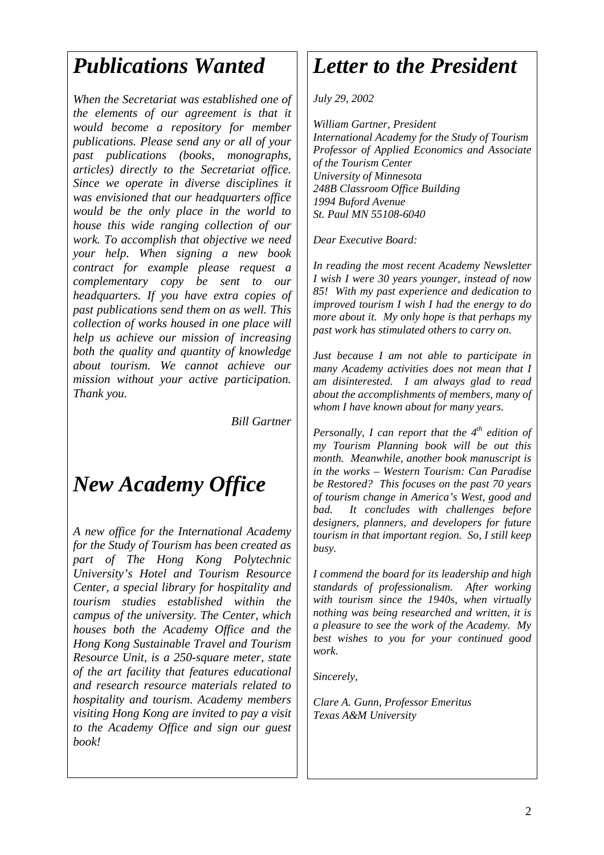## *Publications Wanted*

*When the Secretariat was established one of the elements of our agreement is that it would become a repository for member publications. Please send any or all of your past publications (books, monographs, articles) directly to the Secretariat office. Since we operate in diverse disciplines it was envisioned that our headquarters office would be the only place in the world to house this wide ranging collection of our work. To accomplish that objective we need your help. When signing a new book contract for example please request a complementary copy be sent to our headquarters. If you have extra copies of past publications send them on as well. This collection of works housed in one place will help us achieve our mission of increasing both the quality and quantity of knowledge about tourism. We cannot achieve our mission without your active participation. Thank you.* 

*Bill Gartner*

## *New Academy Office*

*A new office for the International Academy for the Study of Tourism has been created as part of The Hong Kong Polytechnic University's Hotel and Tourism Resource Center, a special library for hospitality and tourism studies established within the campus of the university. The Center, which houses both the Academy Office and the Hong Kong Sustainable Travel and Tourism Resource Unit, is a 250-square meter, state of the art facility that features educational and research resource materials related to hospitality and tourism. Academy members visiting Hong Kong are invited to pay a visit to the Academy Office and sign our guest book!* 

## *Letter to the President*

*July 29, 2002* 

*William Gartner, President International Academy for the Study of Tourism Professor of Applied Economics and Associate of the Tourism Center University of Minnesota 248B Classroom Office Building 1994 Buford Avenue St. Paul MN 55108-6040* 

*Dear Executive Board:* 

*In reading the most recent Academy Newsletter I wish I were 30 years younger, instead of now 85! With my past experience and dedication to improved tourism I wish I had the energy to do more about it. My only hope is that perhaps my past work has stimulated others to carry on.* 

*Just because I am not able to participate in many Academy activities does not mean that I am disinterested. I am always glad to read about the accomplishments of members, many of whom I have known about for many years.* 

*Personally, I can report that the 4<sup>th</sup> edition of my Tourism Planning book will be out this month. Meanwhile, another book manuscript is in the works – Western Tourism: Can Paradise be Restored? This focuses on the past 70 years of tourism change in America's West, good and bad. It concludes with challenges before designers, planners, and developers for future tourism in that important region. So, I still keep busy.* 

*I commend the board for its leadership and high standards of professionalism. After working with tourism since the 1940s, when virtually nothing was being researched and written, it is a pleasure to see the work of the Academy. My best wishes to you for your continued good work.* 

*Sincerely,* 

*Clare A. Gunn, Professor Emeritus Texas A&M University*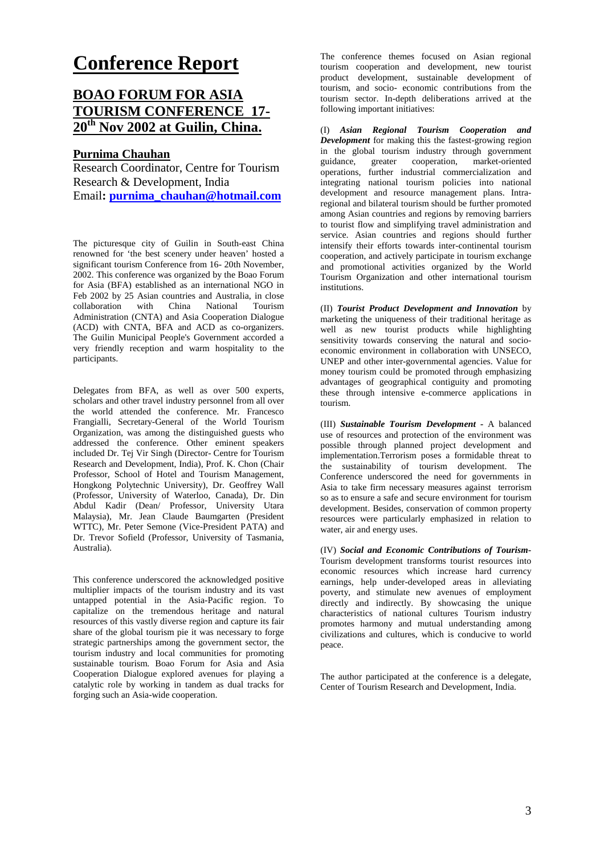## **Conference Report**

### **BOAO FORUM FOR ASIA TOURISM CONFERENCE 17- 20th Nov 2002 at Guilin, China.**

#### **Purnima Chauhan**

Research Coordinator, Centre for Tourism Research & Development, India Email**: purnima\_chauhan@hotmail.com**

The picturesque city of Guilin in South-east China renowned for 'the best scenery under heaven' hosted a significant tourism Conference from 16- 20th November, 2002. This conference was organized by the Boao Forum for Asia (BFA) established as an international NGO in Feb 2002 by 25 Asian countries and Australia, in close<br>collaboration with China National Tourism with China National Tourism Administration (CNTA) and Asia Cooperation Dialogue (ACD) with CNTA, BFA and ACD as co-organizers. The Guilin Municipal People's Government accorded a very friendly reception and warm hospitality to the participants.

Delegates from BFA, as well as over 500 experts, scholars and other travel industry personnel from all over the world attended the conference. Mr. Francesco Frangialli, Secretary-General of the World Tourism Organization, was among the distinguished guests who addressed the conference. Other eminent speakers included Dr. Tej Vir Singh (Director- Centre for Tourism Research and Development, India), Prof. K. Chon (Chair Professor, School of Hotel and Tourism Management, Hongkong Polytechnic University), Dr. Geoffrey Wall (Professor, University of Waterloo, Canada), Dr. Din Abdul Kadir (Dean/ Professor, University Utara Malaysia), Mr. Jean Claude Baumgarten (President WTTC), Mr. Peter Semone (Vice-President PATA) and Dr. Trevor Sofield (Professor, University of Tasmania, Australia).

This conference underscored the acknowledged positive multiplier impacts of the tourism industry and its vast untapped potential in the Asia-Pacific region. To capitalize on the tremendous heritage and natural resources of this vastly diverse region and capture its fair share of the global tourism pie it was necessary to forge strategic partnerships among the government sector, the tourism industry and local communities for promoting sustainable tourism. Boao Forum for Asia and Asia Cooperation Dialogue explored avenues for playing a catalytic role by working in tandem as dual tracks for forging such an Asia-wide cooperation.

The conference themes focused on Asian regional tourism cooperation and development, new tourist product development, sustainable development of tourism, and socio- economic contributions from the tourism sector. In-depth deliberations arrived at the following important initiatives:

(I) *Asian Regional Tourism Cooperation and Development* for making this the fastest-growing region in the global tourism industry through government guidance, greater cooperation, market-oriented operations, further industrial commercialization and integrating national tourism policies into national development and resource management plans. Intraregional and bilateral tourism should be further promoted among Asian countries and regions by removing barriers to tourist flow and simplifying travel administration and service. Asian countries and regions should further intensify their efforts towards inter-continental tourism cooperation, and actively participate in tourism exchange and promotional activities organized by the World Tourism Organization and other international tourism institutions.

(II) *Tourist Product Development and Innovation* by marketing the uniqueness of their traditional heritage as well as new tourist products while highlighting sensitivity towards conserving the natural and socioeconomic environment in collaboration with UNSECO, UNEP and other inter-governmental agencies. Value for money tourism could be promoted through emphasizing advantages of geographical contiguity and promoting these through intensive e-commerce applications in tourism.

(III) *Sustainable Tourism Development -* A balanced use of resources and protection of the environment was possible through planned project development and implementation.Terrorism poses a formidable threat to the sustainability of tourism development. The Conference underscored the need for governments in Asia to take firm necessary measures against terrorism so as to ensure a safe and secure environment for tourism development. Besides, conservation of common property resources were particularly emphasized in relation to water, air and energy uses.

(IV) *Social and Economic Contributions of Tourism-*Tourism development transforms tourist resources into economic resources which increase hard currency earnings, help under-developed areas in alleviating poverty, and stimulate new avenues of employment directly and indirectly. By showcasing the unique characteristics of national cultures Tourism industry promotes harmony and mutual understanding among civilizations and cultures, which is conducive to world peace.

The author participated at the conference is a delegate. Center of Tourism Research and Development, India.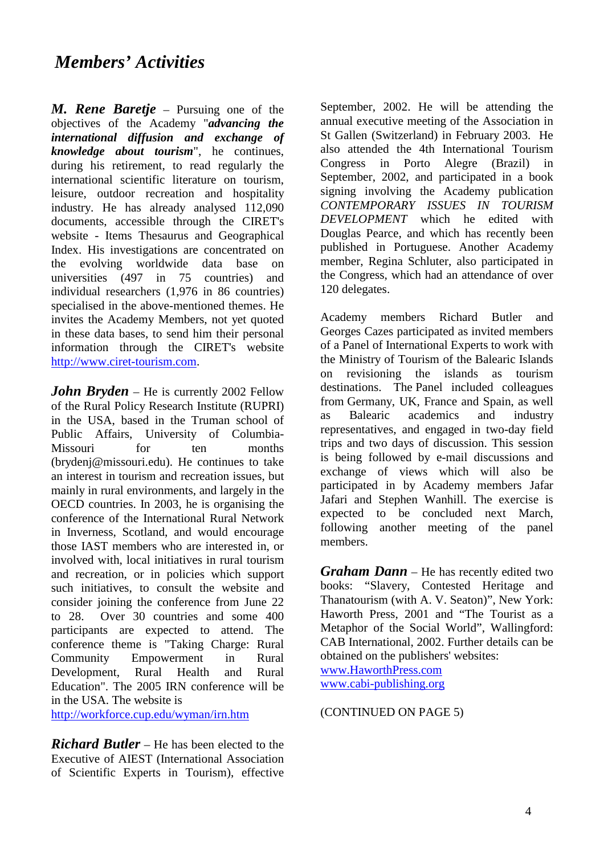### *Members' Activities*

*M. Rene Baretje* – Pursuing one of the objectives of the Academy "*advancing the international diffusion and exchange of knowledge about tourism*", he continues, during his retirement, to read regularly the international scientific literature on tourism, leisure, outdoor recreation and hospitality industry. He has already analysed 112,090 documents, accessible through the CIRET's website - Items Thesaurus and Geographical Index. His investigations are concentrated on the evolving worldwide data base on universities (497 in 75 countries) and individual researchers (1,976 in 86 countries) specialised in the above-mentioned themes. He invites the Academy Members, not yet quoted in these data bases, to send him their personal information through the CIRET's website http://www.ciret-tourism.com.

*John Bryden* – He is currently 2002 Fellow of the Rural Policy Research Institute (RUPRI) in the USA, based in the Truman school of Public Affairs, University of Columbia-Missouri for ten months (brydenj@missouri.edu). He continues to take an interest in tourism and recreation issues, but mainly in rural environments, and largely in the OECD countries. In 2003, he is organising the conference of the International Rural Network in Inverness, Scotland, and would encourage those IAST members who are interested in, or involved with, local initiatives in rural tourism and recreation, or in policies which support such initiatives, to consult the website and consider joining the conference from June 22 to 28. Over 30 countries and some 400 participants are expected to attend. The conference theme is "Taking Charge: Rural Community Empowerment in Rural Development, Rural Health and Rural Education". The 2005 IRN conference will be in the USA. The website is http://workforce.cup.edu/wyman/irn.htm

*Richard Butler* – He has been elected to the Executive of AIEST (International Association of Scientific Experts in Tourism), effective September, 2002. He will be attending the annual executive meeting of the Association in St Gallen (Switzerland) in February 2003. He also attended the 4th International Tourism Congress in Porto Alegre (Brazil) in September, 2002, and participated in a book signing involving the Academy publication *CONTEMPORARY ISSUES IN TOURISM DEVELOPMENT* which he edited with Douglas Pearce, and which has recently been published in Portuguese. Another Academy member, Regina Schluter, also participated in the Congress, which had an attendance of over 120 delegates.

Academy members Richard Butler and Georges Cazes participated as invited members of a Panel of International Experts to work with the Ministry of Tourism of the Balearic Islands on revisioning the islands as tourism destinations. The Panel included colleagues from Germany, UK, France and Spain, as well as Balearic academics and industry representatives, and engaged in two-day field trips and two days of discussion. This session is being followed by e-mail discussions and exchange of views which will also be participated in by Academy members Jafar Jafari and Stephen Wanhill. The exercise is expected to be concluded next March, following another meeting of the panel members.

*Graham Dann* – He has recently edited two books: "Slavery, Contested Heritage and Thanatourism (with A. V. Seaton)", New York: Haworth Press, 2001 and "The Tourist as a Metaphor of the Social World", Wallingford: CAB International, 2002. Further details can be obtained on the publishers' websites: www.HaworthPress.com www.cabi-publishing.org

#### (CONTINUED ON PAGE 5)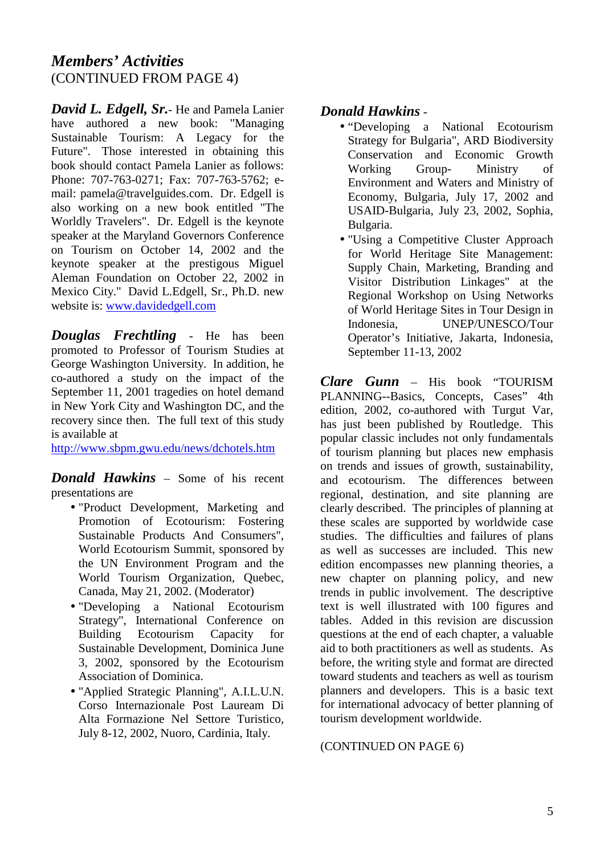### *Members' Activities*  (CONTINUED FROM PAGE 4)

*David L. Edgell, Sr.*- He and Pamela Lanier have authored a new book: "Managing Sustainable Tourism: A Legacy for the Future". Those interested in obtaining this book should contact Pamela Lanier as follows: Phone: 707-763-0271; Fax: 707-763-5762; email: pamela@travelguides.com. Dr. Edgell is also working on a new book entitled "The Worldly Travelers". Dr. Edgell is the keynote speaker at the Maryland Governors Conference on Tourism on October 14, 2002 and the keynote speaker at the prestigous Miguel Aleman Foundation on October 22, 2002 in Mexico City." David L.Edgell, Sr., Ph.D. new website is: www.davidedgell.com

*Douglas Frechtling* - He has been promoted to Professor of Tourism Studies at George Washington University. In addition, he co-authored a study on the impact of the September 11, 2001 tragedies on hotel demand in New York City and Washington DC, and the recovery since then. The full text of this study is available at

http://www.sbpm.gwu.edu/news/dchotels.htm

*Donald Hawkins* – Some of his recent presentations are

- "Product Development, Marketing and Promotion of Ecotourism: Fostering Sustainable Products And Consumers", World Ecotourism Summit, sponsored by the UN Environment Program and the World Tourism Organization, Quebec, Canada, May 21, 2002. (Moderator)
- "Developing a National Ecotourism Strategy", International Conference on Building Ecotourism Capacity for Sustainable Development, Dominica June 3, 2002, sponsored by the Ecotourism Association of Dominica.
- "Applied Strategic Planning", A.I.L.U.N. Corso Internazionale Post Lauream Di Alta Formazione Nel Settore Turistico, July 8-12, 2002, Nuoro, Cardinia, Italy.

### *Donald Hawkins* -

- "Developing a National Ecotourism Strategy for Bulgaria", ARD Biodiversity Conservation and Economic Growth Working Group- Ministry of Environment and Waters and Ministry of Economy, Bulgaria, July 17, 2002 and USAID-Bulgaria, July 23, 2002, Sophia, Bulgaria.
- "Using a Competitive Cluster Approach for World Heritage Site Management: Supply Chain, Marketing, Branding and Visitor Distribution Linkages" at the Regional Workshop on Using Networks of World Heritage Sites in Tour Design in Indonesia, UNEP/UNESCO/Tour Operator's Initiative, Jakarta, Indonesia, September 11-13, 2002

*Clare Gunn* – His book "TOURISM PLANNING--Basics, Concepts, Cases" 4th edition, 2002, co-authored with Turgut Var, has just been published by Routledge. This popular classic includes not only fundamentals of tourism planning but places new emphasis on trends and issues of growth, sustainability, and ecotourism. The differences between regional, destination, and site planning are clearly described. The principles of planning at these scales are supported by worldwide case studies. The difficulties and failures of plans as well as successes are included. This new edition encompasses new planning theories, a new chapter on planning policy, and new trends in public involvement. The descriptive text is well illustrated with 100 figures and tables. Added in this revision are discussion questions at the end of each chapter, a valuable aid to both practitioners as well as students. As before, the writing style and format are directed toward students and teachers as well as tourism planners and developers. This is a basic text for international advocacy of better planning of tourism development worldwide.

#### (CONTINUED ON PAGE 6)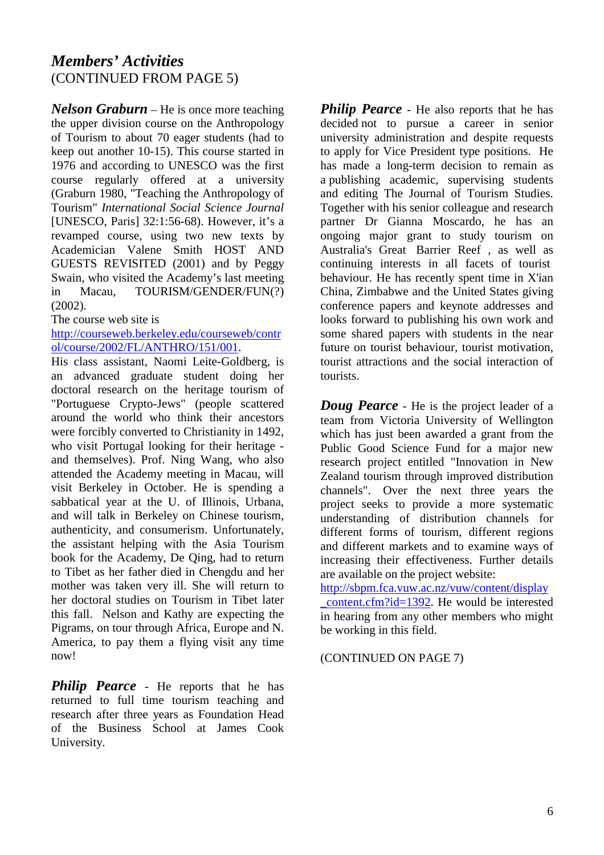### *Members' Activities*  (CONTINUED FROM PAGE 5)

*Nelson Graburn* – He is once more teaching the upper division course on the Anthropology of Tourism to about 70 eager students (had to keep out another 10-15). This course started in 1976 and according to UNESCO was the first course regularly offered at a university (Graburn 1980, "Teaching the Anthropology of Tourism" *International Social Science Journal* [UNESCO, Paris] 32:1:56-68). However, it's a revamped course, using two new texts by Academician Valene Smith HOST AND GUESTS REVISITED (2001) and by Peggy Swain, who visited the Academy's last meeting in Macau, TOURISM/GENDER/FUN(?) (2002).

The course web site is

http://courseweb.berkeley.edu/courseweb/contr ol/course/2002/FL/ANTHRO/151/001.

His class assistant, Naomi Leite-Goldberg, is an advanced graduate student doing her doctoral research on the heritage tourism of "Portuguese Crypto-Jews" (people scattered around the world who think their ancestors were forcibly converted to Christianity in 1492, who visit Portugal looking for their heritage and themselves). Prof. Ning Wang, who also attended the Academy meeting in Macau, will visit Berkeley in October. He is spending a sabbatical year at the U. of Illinois, Urbana, and will talk in Berkeley on Chinese tourism, authenticity, and consumerism. Unfortunately, the assistant helping with the Asia Tourism book for the Academy, De Qing, had to return to Tibet as her father died in Chengdu and her mother was taken very ill. She will return to her doctoral studies on Tourism in Tibet later this fall. Nelson and Kathy are expecting the Pigrams, on tour through Africa, Europe and N. America, to pay them a flying visit any time now!

**Philip Pearce** - He reports that he has returned to full time tourism teaching and research after three years as Foundation Head of the Business School at James Cook University.

**Philip Pearce** - He also reports that he has decided not to pursue a career in senior university administration and despite requests to apply for Vice President type positions. He has made a long-term decision to remain as a publishing academic, supervising students and editing The Journal of Tourism Studies. Together with his senior colleague and research partner Dr Gianna Moscardo, he has an ongoing major grant to study tourism on Australia's Great Barrier Reef , as well as continuing interests in all facets of tourist behaviour. He has recently spent time in X'ian China, Zimbabwe and the United States giving conference papers and keynote addresses and looks forward to publishing his own work and some shared papers with students in the near future on tourist behaviour, tourist motivation, tourist attractions and the social interaction of tourists.

*Doug Pearce* - He is the project leader of a team from Victoria University of Wellington which has just been awarded a grant from the Public Good Science Fund for a major new research project entitled "Innovation in New Zealand tourism through improved distribution channels". Over the next three years the project seeks to provide a more systematic understanding of distribution channels for different forms of tourism, different regions and different markets and to examine ways of increasing their effectiveness. Further details are available on the project website:

http://sbpm.fca.vuw.ac.nz/vuw/content/display \_content.cfm?id=1392. He would be interested in hearing from any other members who might be working in this field.

(CONTINUED ON PAGE 7)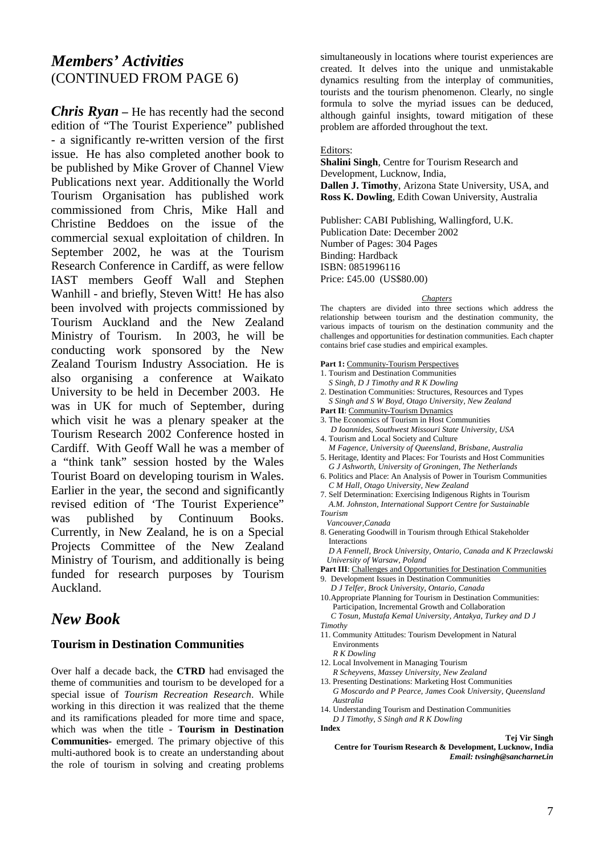### *Members' Activities*  (CONTINUED FROM PAGE 6)

*Chris Ryan* – He has recently had the second edition of "The Tourist Experience" published - a significantly re-written version of the first issue. He has also completed another book to be published by Mike Grover of Channel View Publications next year. Additionally the World Tourism Organisation has published work commissioned from Chris, Mike Hall and Christine Beddoes on the issue of the commercial sexual exploitation of children. In September 2002, he was at the Tourism Research Conference in Cardiff, as were fellow IAST members Geoff Wall and Stephen Wanhill - and briefly, Steven Witt! He has also been involved with projects commissioned by Tourism Auckland and the New Zealand Ministry of Tourism. In 2003, he will be conducting work sponsored by the New Zealand Tourism Industry Association. He is also organising a conference at Waikato University to be held in December 2003. He was in UK for much of September, during which visit he was a plenary speaker at the Tourism Research 2002 Conference hosted in Cardiff. With Geoff Wall he was a member of a "think tank" session hosted by the Wales Tourist Board on developing tourism in Wales. Earlier in the year, the second and significantly revised edition of 'The Tourist Experience" was published by Continuum Books. Currently, in New Zealand, he is on a Special Projects Committee of the New Zealand Ministry of Tourism, and additionally is being funded for research purposes by Tourism Auckland.

### *New Book*

#### **Tourism in Destination Communities**

Over half a decade back, the **CTRD** had envisaged the theme of communities and tourism to be developed for a special issue of *Tourism Recreation Research*. While working in this direction it was realized that the theme and its ramifications pleaded for more time and space, which was when the title - **Tourism in Destination Communities-** emerged. The primary objective of this multi-authored book is to create an understanding about the role of tourism in solving and creating problems simultaneously in locations where tourist experiences are created. It delves into the unique and unmistakable dynamics resulting from the interplay of communities, tourists and the tourism phenomenon. Clearly, no single formula to solve the myriad issues can be deduced, although gainful insights, toward mitigation of these problem are afforded throughout the text.

#### Editors:

**Shalini Singh**, Centre for Tourism Research and Development, Lucknow, India, **Dallen J. Timothy**, Arizona State University, USA, and **Ross K. Dowling**, Edith Cowan University, Australia

Publisher: CABI Publishing, Wallingford, U.K. Publication Date: December 2002 Number of Pages: 304 Pages Binding: Hardback ISBN: 0851996116 Price: £45.00 (US\$80.00)

#### *Chapters*

The chapters are divided into three sections which address the relationship between tourism and the destination community, the various impacts of tourism on the destination community and the challenges and opportunities for destination communities. Each chapter contains brief case studies and empirical examples.

Part 1: Community-Tourism Perspectives

- 1. Tourism and Destination Communities
- *S Singh, D J Timothy and R K Dowling*
- 2. Destination Communities: Structures, Resources and Types *S Singh and S W Boyd, Otago University, New Zealand*
- Part II: Community-Tourism Dynamics
- 3. The Economics of Tourism in Host Communities
- *D Ioannides, Southwest Missouri State University, USA*  4. Tourism and Local Society and Culture
- *M Fagence, University of Queensland, Brisbane, Australia* 5. Heritage, Identity and Places: For Tourists and Host Communities
- *G J Ashworth, University of Groningen, The Netherlands* 6. Politics and Place: An Analysis of Power in Tourism Communities *C M Hall, Otago University, New Zealand*
- 7. Self Determination: Exercising Indigenous Rights in Tourism *A.M. Johnston, International Support Centre for Sustainable*
- *Tourism*
- *Vancouver,Canada*
- 8. Generating Goodwill in Tourism through Ethical Stakeholder Interactions

 *D A Fennell, Brock University, Ontario, Canada and K Przeclawski University of Warsaw, Poland* 

- Part III: Challenges and Opportunities for Destination Communities
- 9. Development Issues in Destination Communities
- *D J Telfer, Brock University, Ontario, Canada* 10.Appropriate Planning for Tourism in Destination Communities: Participation, Incremental Growth and Collaboration
- *C Tosun, Mustafa Kemal University, Antakya, Turkey and D J Timothy*
- 11. Community Attitudes: Tourism Development in Natural Environments
	- *R K Dowling*
- 12. Local Involvement in Managing Tourism
- *R Scheyvens, Massey University, New Zealand*
- 13. Presenting Destinations: Marketing Host Communities *G Moscardo and P Pearce, James Cook University, Queensland Australia*
- 14. Understanding Tourism and Destination Communities
- *D J Timothy, S Singh and R K Dowling*

**Index** 

**Tej Vir Singh Centre for Tourism Research & Development, Lucknow, India**  *Email: tvsingh@sancharnet.in*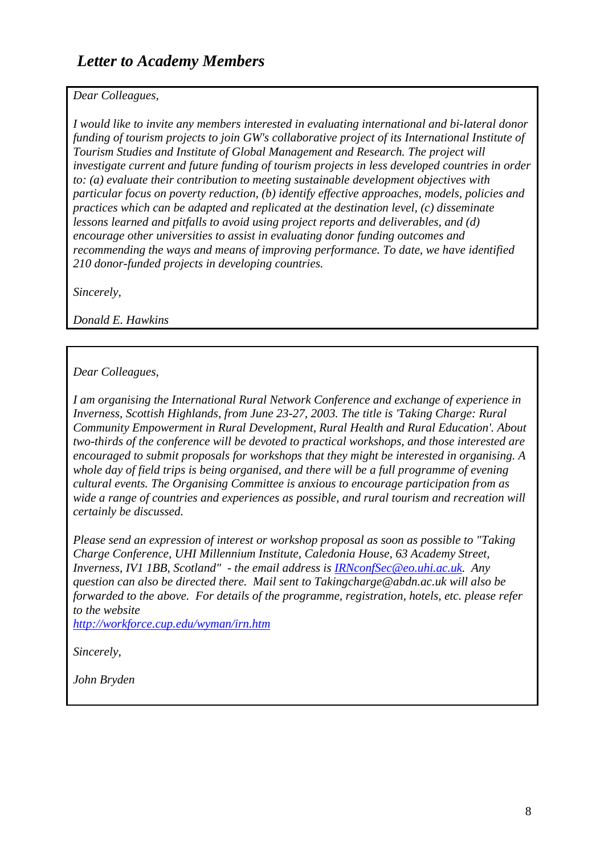### *Dear Colleagues,*

*I would like to invite any members interested in evaluating international and bi-lateral donor funding of tourism projects to join GW's collaborative project of its International Institute of Tourism Studies and Institute of Global Management and Research. The project will investigate current and future funding of tourism projects in less developed countries in order to: (a) evaluate their contribution to meeting sustainable development objectives with particular focus on poverty reduction, (b) identify effective approaches, models, policies and practices which can be adapted and replicated at the destination level, (c) disseminate lessons learned and pitfalls to avoid using project reports and deliverables, and (d) encourage other universities to assist in evaluating donor funding outcomes and recommending the ways and means of improving performance. To date, we have identified 210 donor-funded projects in developing countries.* 

*Sincerely,* 

*Donald E. Hawkins*

### *Dear Colleagues,*

*I am organising the International Rural Network Conference and exchange of experience in Inverness, Scottish Highlands, from June 23-27, 2003. The title is 'Taking Charge: Rural Community Empowerment in Rural Development, Rural Health and Rural Education'. About two-thirds of the conference will be devoted to practical workshops, and those interested are encouraged to submit proposals for workshops that they might be interested in organising. A whole day of field trips is being organised, and there will be a full programme of evening cultural events. The Organising Committee is anxious to encourage participation from as wide a range of countries and experiences as possible, and rural tourism and recreation will certainly be discussed.* 

*Please send an expression of interest or workshop proposal as soon as possible to "Taking Charge Conference, UHI Millennium Institute, Caledonia House, 63 Academy Street, Inverness, IV1 1BB, Scotland" - the email address is IRNconfSec@eo.uhi.ac.uk. Any question can also be directed there. Mail sent to Takingcharge@abdn.ac.uk will also be forwarded to the above. For details of the programme, registration, hotels, etc. please refer to the website* 

*http://workforce.cup.edu/wyman/irn.htm*

*Sincerely,* 

*John Bryden*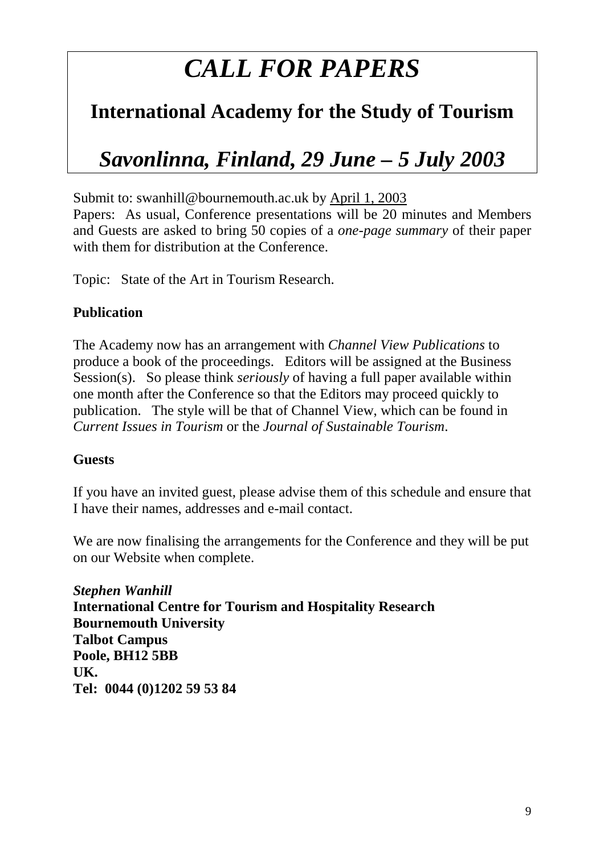## *CALL FOR PAPERS*

## **International Academy for the Study of Tourism**

## *Savonlinna, Finland, 29 June – 5 July 2003*

Submit to: swanhill@bournemouth.ac.uk by April 1, 2003

Papers: As usual, Conference presentations will be 20 minutes and Members and Guests are asked to bring 50 copies of a *one-page summary* of their paper with them for distribution at the Conference.

Topic: State of the Art in Tourism Research.

### **Publication**

The Academy now has an arrangement with *Channel View Publications* to produce a book of the proceedings. Editors will be assigned at the Business Session(s). So please think *seriously* of having a full paper available within one month after the Conference so that the Editors may proceed quickly to publication. The style will be that of Channel View, which can be found in *Current Issues in Tourism* or the *Journal of Sustainable Tourism*.

### **Guests**

If you have an invited guest, please advise them of this schedule and ensure that I have their names, addresses and e-mail contact.

We are now finalising the arrangements for the Conference and they will be put on our Website when complete.

*Stephen Wanhill*  **International Centre for Tourism and Hospitality Research Bournemouth University Talbot Campus Poole, BH12 5BB UK. Tel: 0044 (0)1202 59 53 84**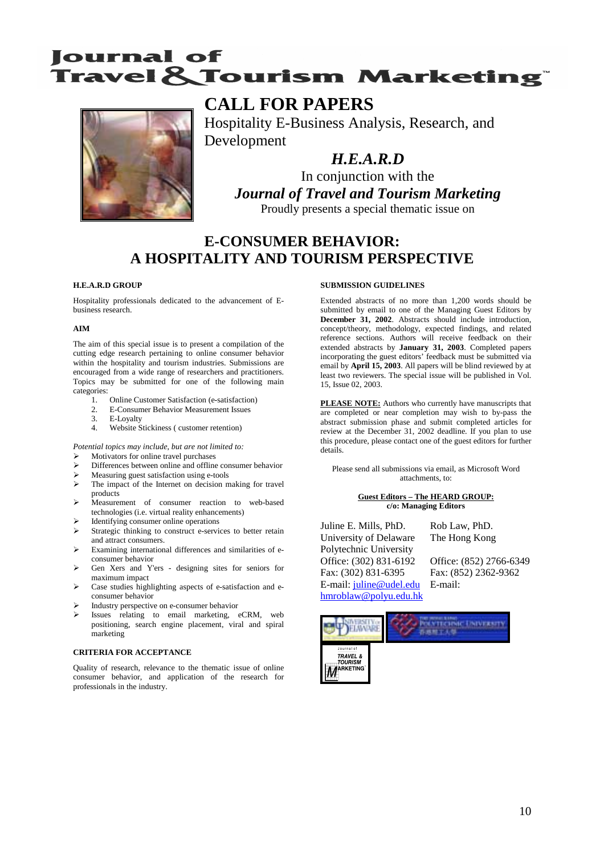## **Iournal of Travel & Tourism Marketing®**



### **CALL FOR PAPERS**

Hospitality E-Business Analysis, Research, and Development

*H.E.A.R.D* 

In conjunction with the *Journal of Travel and Tourism Marketing*  Proudly presents a special thematic issue on

### **E-CONSUMER BEHAVIOR: A HOSPITALITY AND TOURISM PERSPECTIVE**

#### **H.E.A.R.D GROUP**

Hospitality professionals dedicated to the advancement of Ebusiness research.

#### **AIM**

The aim of this special issue is to present a compilation of the cutting edge research pertaining to online consumer behavior within the hospitality and tourism industries. Submissions are encouraged from a wide range of researchers and practitioners. Topics may be submitted for one of the following main categories:<br>1.

- 1. Online Customer Satisfaction (e-satisfaction)<br>2. E-Consumer Behavior Measurement Issues
- 2. E-Consumer Behavior Measurement Issues
- 3. E-Loyalty<br>4. Website S
- Website Stickiness ( customer retention)

*Potential topics may include, but are not limited to:* 

- ¾ Motivators for online travel purchases
- Differences between online and offline consumer behavior
- ¾ Measuring guest satisfaction using e-tools
- $\triangleright$  The impact of the Internet on decision making for travel products
- ¾ Measurement of consumer reaction to web-based technologies (i.e. virtual reality enhancements)
- Identifying consumer online operations
- Strategic thinking to construct e-services to better retain and attract consumers.
- ¾ Examining international differences and similarities of econsumer behavior
- ¾ Gen Xers and Y'ers designing sites for seniors for maximum impact
- Case studies highlighting aspects of e-satisfaction and econsumer behavior
- ¾ Industry perspective on e-consumer behavior
- Issues relating to email marketing, eCRM, web positioning, search engine placement, viral and spiral marketing

#### **CRITERIA FOR ACCEPTANCE**

Quality of research, relevance to the thematic issue of online consumer behavior, and application of the research for professionals in the industry.

#### **SUBMISSION GUIDELINES**

Extended abstracts of no more than 1,200 words should be submitted by email to one of the Managing Guest Editors by **December 31, 2002**. Abstracts should include introduction, concept/theory, methodology, expected findings, and related reference sections. Authors will receive feedback on their extended abstracts by **January 31, 2003**. Completed papers incorporating the guest editors' feedback must be submitted via email by **April 15, 2003**. All papers will be blind reviewed by at least two reviewers. The special issue will be published in Vol. 15, Issue 02, 2003.

**PLEASE NOTE:** Authors who currently have manuscripts that are completed or near completion may wish to by-pass the abstract submission phase and submit completed articles for review at the December 31, 2002 deadline. If you plan to use this procedure, please contact one of the guest editors for further details.

Please send all submissions via email, as Microsoft Word attachments, to:

#### **Guest Editors – The HEARD GROUP: c/o: Managing Editors**

Juline E. Mills, PhD. Rob Law, PhD. University of Delaware The Hong Kong Polytechnic University Office: (302) 831-6192 Office: (852) 2766-6349 Fax: (302) 831-6395 Fax: (852) 2362-9362 E-mail: juline@udel.edu E-mail: hmroblaw@polyu.edu.hk

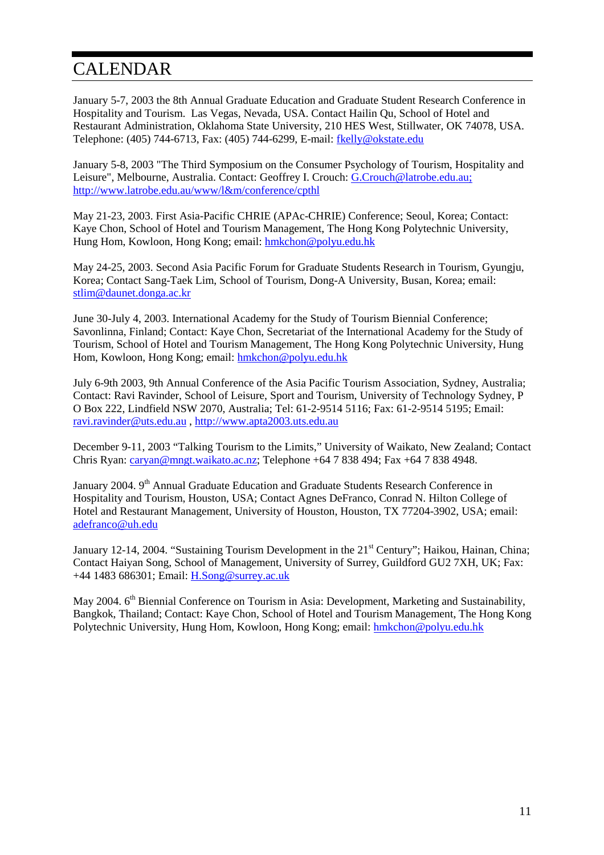## CALENDAR

January 5-7, 2003 the 8th Annual Graduate Education and Graduate Student Research Conference in Hospitality and Tourism. Las Vegas, Nevada, USA. Contact Hailin Qu, School of Hotel and Restaurant Administration, Oklahoma State University, 210 HES West, Stillwater, OK 74078, USA. Telephone: (405) 744-6713, Fax: (405) 744-6299, E-mail: fkelly@okstate.edu

January 5-8, 2003 "The Third Symposium on the Consumer Psychology of Tourism, Hospitality and Leisure", Melbourne, Australia. Contact: Geoffrey I. Crouch: G.Crouch@latrobe.edu.au; http://www.latrobe.edu.au/www/l&m/conference/cpthl

May 21-23, 2003. First Asia-Pacific CHRIE (APAc-CHRIE) Conference; Seoul, Korea; Contact: Kaye Chon, School of Hotel and Tourism Management, The Hong Kong Polytechnic University, Hung Hom, Kowloon, Hong Kong; email: hmkchon@polyu.edu.hk

May 24-25, 2003. Second Asia Pacific Forum for Graduate Students Research in Tourism, Gyungju, Korea; Contact Sang-Taek Lim, School of Tourism, Dong-A University, Busan, Korea; email: stlim@daunet.donga.ac.kr

June 30-July 4, 2003. International Academy for the Study of Tourism Biennial Conference; Savonlinna, Finland; Contact: Kaye Chon, Secretariat of the International Academy for the Study of Tourism, School of Hotel and Tourism Management, The Hong Kong Polytechnic University, Hung Hom, Kowloon, Hong Kong; email: hmkchon@polyu.edu.hk

July 6-9th 2003, 9th Annual Conference of the Asia Pacific Tourism Association, Sydney, Australia; Contact: Ravi Ravinder, School of Leisure, Sport and Tourism, University of Technology Sydney, P O Box 222, Lindfield NSW 2070, Australia; Tel: 61-2-9514 5116; Fax: 61-2-9514 5195; Email: ravi.ravinder@uts.edu.au , http://www.apta2003.uts.edu.au

December 9-11, 2003 "Talking Tourism to the Limits," University of Waikato, New Zealand; Contact Chris Ryan: caryan@mngt.waikato.ac.nz; Telephone +64 7 838 494; Fax +64 7 838 4948.

January 2004. 9<sup>th</sup> Annual Graduate Education and Graduate Students Research Conference in Hospitality and Tourism, Houston, USA; Contact Agnes DeFranco, Conrad N. Hilton College of Hotel and Restaurant Management, University of Houston, Houston, TX 77204-3902, USA; email: adefranco@uh.edu

January 12-14, 2004. "Sustaining Tourism Development in the 21<sup>st</sup> Century"; Haikou, Hainan, China; Contact Haiyan Song, School of Management, University of Surrey, Guildford GU2 7XH, UK; Fax: +44 1483 686301; Email: H.Song@surrey.ac.uk

May 2004. 6<sup>th</sup> Biennial Conference on Tourism in Asia: Development, Marketing and Sustainability, Bangkok, Thailand; Contact: Kaye Chon, School of Hotel and Tourism Management, The Hong Kong Polytechnic University, Hung Hom, Kowloon, Hong Kong; email: hmkchon@polyu.edu.hk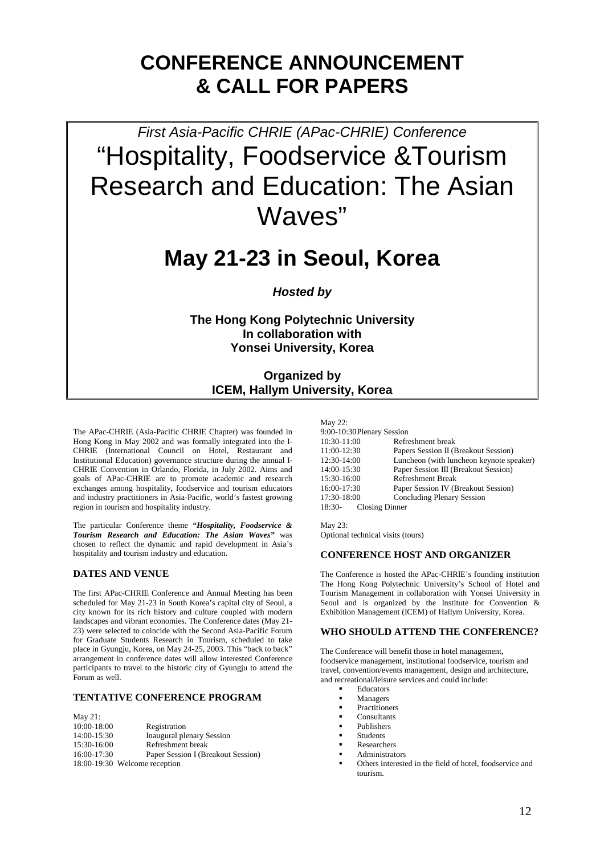## **CONFERENCE ANNOUNCEMENT & CALL FOR PAPERS**

*First Asia-Pacific CHRIE (APac-CHRIE) Conference*  "Hospitality, Foodservice &Tourism Research and Education: The Asian Waves"

## **May 21-23 in Seoul, Korea**

*Hosted by* 

**The Hong Kong Polytechnic University In collaboration with Yonsei University, Korea** 

### **Organized by ICEM, Hallym University, Korea**

The APac-CHRIE (Asia-Pacific CHRIE Chapter) was founded in Hong Kong in May 2002 and was formally integrated into the I-CHRIE (International Council on Hotel, Restaurant and Institutional Education) governance structure during the annual I-CHRIE Convention in Orlando, Florida, in July 2002. Aims and goals of APac-CHRIE are to promote academic and research exchanges among hospitality, foodservice and tourism educators and industry practitioners in Asia-Pacific, world's fastest growing region in tourism and hospitality industry.

The particular Conference theme *"Hospitality, Foodservice & Tourism Research and Education: The Asian Waves"* was chosen to reflect the dynamic and rapid development in Asia's hospitality and tourism industry and education.

#### **DATES AND VENUE**

The first APac-CHRIE Conference and Annual Meeting has been scheduled for May 21-23 in South Korea's capital city of Seoul, a city known for its rich history and culture coupled with modern landscapes and vibrant economies. The Conference dates (May 21- 23) were selected to coincide with the Second Asia-Pacific Forum for Graduate Students Research in Tourism, scheduled to take place in Gyungju, Korea, on May 24-25, 2003. This "back to back" arrangement in conference dates will allow interested Conference participants to travel to the historic city of Gyungju to attend the Forum as well.

#### **TENTATIVE CONFERENCE PROGRAM**

| May $21$ :    |                                    |
|---------------|------------------------------------|
| 10:00-18:00   | Registration                       |
| 14:00-15:30   | Inaugural plenary Session          |
| 15:30-16:00   | Refreshment break                  |
| $16:00-17:30$ | Paper Session I (Breakout Session) |
|               | 18:00-19:30 Welcome reception      |

#### May 22: 9:00-10:30 Plenary Session 10:30-11:00 Refreshment break<br>11:00-12:30 Papers Session II (1 Papers Session II (Breakout Session) 12:30-14:00 Luncheon (with luncheon keynote speaker) 14:00-15:30 Paper Session III (Breakout Session) 15:30-16:00 Refreshment Break 16:00-17:30 Paper Session IV (Breakout Session) 17:30-18:00 Concluding Plenary Session<br>18:30- Closing Dinner Closing Dinner

May 23. Optional technical visits (tours)

#### **CONFERENCE HOST AND ORGANIZER**

The Conference is hosted the APac-CHRIE's founding institution The Hong Kong Polytechnic University's School of Hotel and Tourism Management in collaboration with Yonsei University in Seoul and is organized by the Institute for Convention & Exhibition Management (ICEM) of Hallym University, Korea.

#### **WHO SHOULD ATTEND THE CONFERENCE?**

The Conference will benefit those in hotel management, foodservice management, institutional foodservice, tourism and travel, convention/events management, design and architecture, and recreational/leisure services and could include:

- Educators
- Managers
- **Practitioners**
- **Consultants**
- Publishers
- Students
- Researchers
- Administrators
- Others interested in the field of hotel, foodservice and tourism.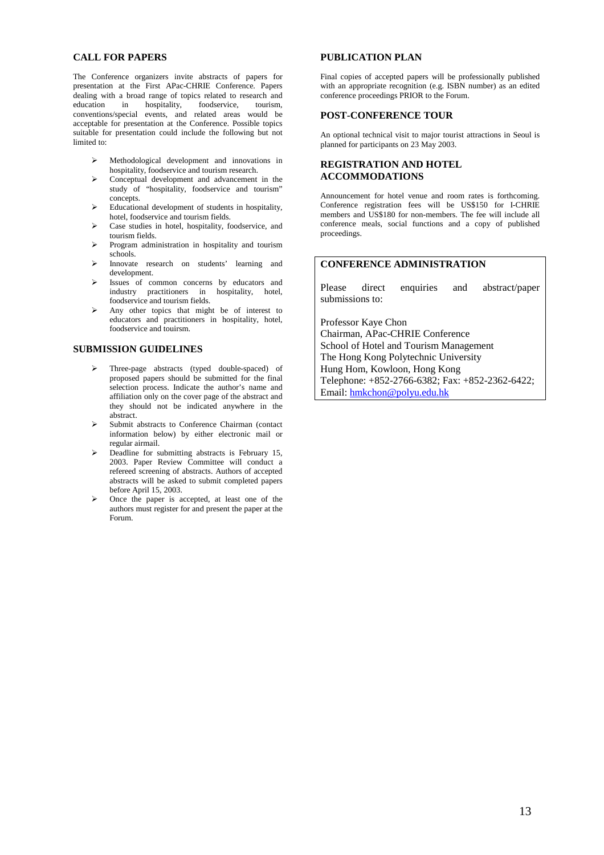#### **CALL FOR PAPERS**

The Conference organizers invite abstracts of papers for presentation at the First APac-CHRIE Conference. Papers dealing with a broad range of topics related to research and education in hospitality, foodservice, tourism, foodservice, conventions/special events, and related areas would be acceptable for presentation at the Conference. Possible topics suitable for presentation could include the following but not limited to:

- $\triangleright$  Methodological development and innovations in hospitality, foodservice and tourism research.
- ¾ Conceptual development and advancement in the study of "hospitality, foodservice and tourism" concepts.
- $\triangleright$  Educational development of students in hospitality, hotel, foodservice and tourism fields.
- ¾ Case studies in hotel, hospitality, foodservice, and tourism fields.
- $\triangleright$  Program administration in hospitality and tourism schools.
- ¾ Innovate research on students' learning and development.
- Issues of common concerns by educators and industry practitioners in hospitality, hotel, foodservice and tourism fields.

¾ Any other topics that might be of interest to educators and practitioners in hospitality, hotel, foodservice and touirsm.

#### **SUBMISSION GUIDELINES**

- ¾ Three-page abstracts (typed double-spaced) of proposed papers should be submitted for the final selection process. Indicate the author's name and affiliation only on the cover page of the abstract and they should not be indicated anywhere in the abstract.
- ¾ Submit abstracts to Conference Chairman (contact information below) by either electronic mail or regular airmail.
- $\triangleright$  Deadline for submitting abstracts is February 15, 2003. Paper Review Committee will conduct a refereed screening of abstracts. Authors of accepted abstracts will be asked to submit completed papers before April 15, 2003.
- ¾ Once the paper is accepted, at least one of the authors must register for and present the paper at the Forum.

#### **PUBLICATION PLAN**

Final copies of accepted papers will be professionally published with an appropriate recognition (e.g. ISBN number) as an edited conference proceedings PRIOR to the Forum.

#### **POST-CONFERENCE TOUR**

An optional technical visit to major tourist attractions in Seoul is planned for participants on 23 May 2003.

#### **REGISTRATION AND HOTEL ACCOMMODATIONS**

Announcement for hotel venue and room rates is forthcoming. Conference registration fees will be US\$150 for I-CHRIE members and US\$180 for non-members. The fee will include all conference meals, social functions and a copy of published proceedings.

#### **CONFERENCE ADMINISTRATION**

Please direct enquiries and abstract/paper submissions to:

Professor Kaye Chon

Chairman, APac-CHRIE Conference School of Hotel and Tourism Management The Hong Kong Polytechnic University Hung Hom, Kowloon, Hong Kong Telephone: +852-2766-6382; Fax: +852-2362-6422; Email: hmkchon@polyu.edu.hk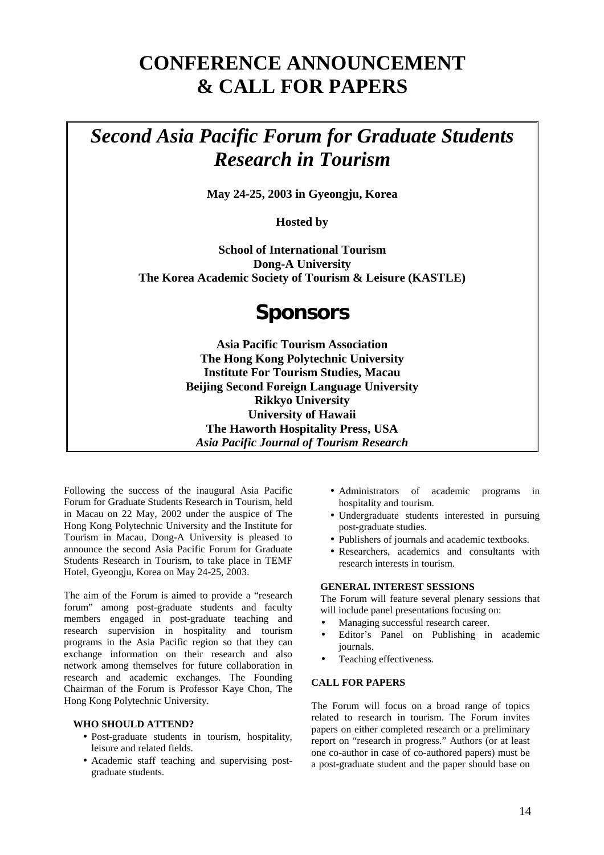## **CONFERENCE ANNOUNCEMENT & CALL FOR PAPERS**

## *Second Asia Pacific Forum for Graduate Students Research in Tourism*

**May 24-25, 2003 in Gyeongju, Korea** 

**Hosted by** 

**School of International Tourism Dong-A University The Korea Academic Society of Tourism & Leisure (KASTLE)** 

## **Sponsors**

**Asia Pacific Tourism Association The Hong Kong Polytechnic University Institute For Tourism Studies, Macau Beijing Second Foreign Language University Rikkyo University University of Hawaii The Haworth Hospitality Press, USA**  *Asia Pacific Journal of Tourism Research*

Following the success of the inaugural Asia Pacific Forum for Graduate Students Research in Tourism, held in Macau on 22 May, 2002 under the auspice of The Hong Kong Polytechnic University and the Institute for Tourism in Macau, Dong-A University is pleased to announce the second Asia Pacific Forum for Graduate Students Research in Tourism, to take place in TEMF Hotel, Gyeongju, Korea on May 24-25, 2003.

The aim of the Forum is aimed to provide a "research forum" among post-graduate students and faculty members engaged in post-graduate teaching and research supervision in hospitality and tourism programs in the Asia Pacific region so that they can exchange information on their research and also network among themselves for future collaboration in research and academic exchanges. The Founding Chairman of the Forum is Professor Kaye Chon, The Hong Kong Polytechnic University.

#### **WHO SHOULD ATTEND?**

- Post-graduate students in tourism, hospitality, leisure and related fields.
- Academic staff teaching and supervising postgraduate students.
- Administrators of academic programs in hospitality and tourism.
- Undergraduate students interested in pursuing post-graduate studies.
- Publishers of journals and academic textbooks.
- Researchers, academics and consultants with research interests in tourism.

#### **GENERAL INTEREST SESSIONS**

The Forum will feature several plenary sessions that will include panel presentations focusing on:

- Managing successful research career.
- Editor's Panel on Publishing in academic journals.
- Teaching effectiveness.

#### **CALL FOR PAPERS**

The Forum will focus on a broad range of topics related to research in tourism. The Forum invites papers on either completed research or a preliminary report on "research in progress." Authors (or at least one co-author in case of co-authored papers) must be a post-graduate student and the paper should base on